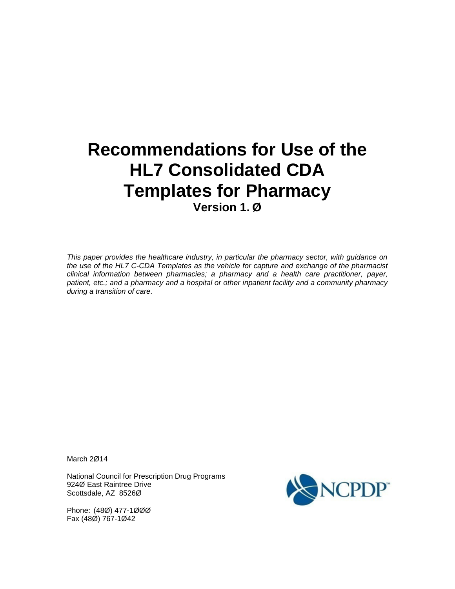# **Recommendations for Use of the HL7 Consolidated CDA Templates for Pharmacy Version 1. Ø**

*This paper provides the healthcare industry, in particular the pharmacy sector, with guidance on the use of the HL7 C-CDA Templates as the vehicle for capture and exchange of the pharmacist clinical information between pharmacies; a pharmacy and a health care practitioner, payer, patient, etc.; and a pharmacy and a hospital or other inpatient facility and a community pharmacy during a transition of care.* 

March 2Ø14

National Council for Prescription Drug Programs 924Ø East Raintree Drive Scottsdale, AZ 8526Ø

Phone: (48Ø) 477-1ØØØ Fax (48Ø) 767-1Ø42

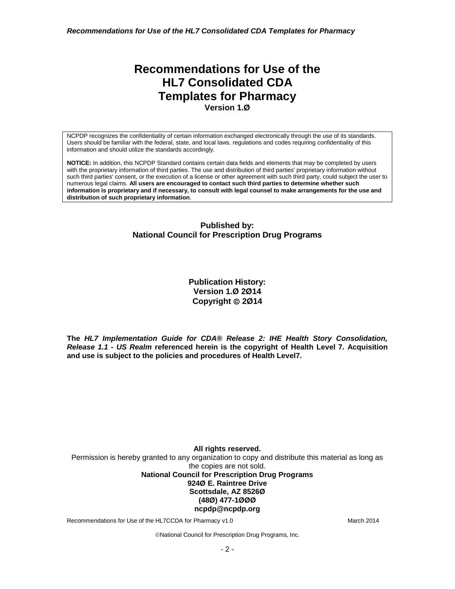*Recommendations for Use of the HL7 Consolidated CDA Templates for Pharmacy*

## **Recommendations for Use of the HL7 Consolidated CDA Templates for Pharmacy Version 1.Ø**

NCPDP recognizes the confidentiality of certain information exchanged electronically through the use of its standards. Users should be familiar with the federal, state, and local laws, regulations and codes requiring confidentiality of this information and should utilize the standards accordingly.

**NOTICE:** In addition, this NCPDP Standard contains certain data fields and elements that may be completed by users with the proprietary information of third parties. The use and distribution of third parties' proprietary information without such third parties' consent, or the execution of a license or other agreement with such third party, could subject the user to numerous legal claims. **All users are encouraged to contact such third parties to determine whether such information is proprietary and if necessary, to consult with legal counsel to make arrangements for the use and distribution of such proprietary information**.

#### **Published by: National Council for Prescription Drug Programs**

**Publication History: Version 1.Ø 2Ø14 Copyright 2Ø14**

**The** *HL7 Implementation Guide for CDA® Release 2: IHE Health Story Consolidation, Release 1.1 - US Realm* **referenced herein is the copyright of Health Level 7. Acquisition and use is subject to the policies and procedures of Health Level7.**

**All rights reserved.** Permission is hereby granted to any organization to copy and distribute this material as long as the copies are not sold. **National Council for Prescription Drug Programs 924Ø E. Raintree Drive Scottsdale, AZ 8526Ø (48Ø) 477-1ØØØ ncpdp@ncpdp.org**

Recommendations for Use of the HL7CCDA for Pharmacy v1.0 March 2014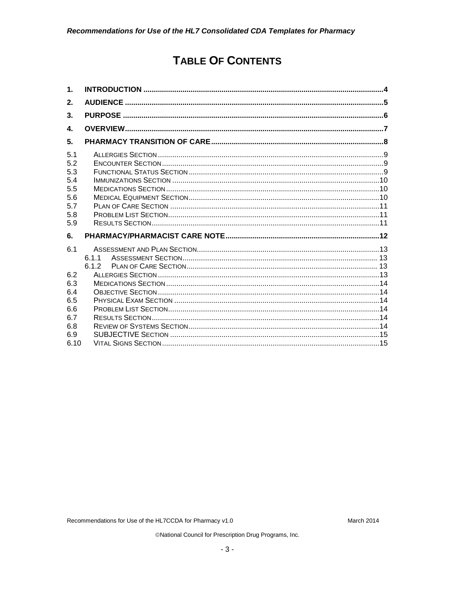## **TABLE OF CONTENTS**

| 1.                                                          |                |  |
|-------------------------------------------------------------|----------------|--|
| 2.                                                          |                |  |
| 3.                                                          |                |  |
| 4.                                                          |                |  |
| 5.                                                          |                |  |
| 5.1<br>5.2<br>5.3<br>5.4<br>5.5<br>5.6<br>5.7<br>5.8<br>5.9 |                |  |
| 6.                                                          |                |  |
| 6.1                                                         | 6.1.1<br>6.1.2 |  |
| 6.2<br>6.3<br>6.4<br>6.5                                    |                |  |
| 6.6<br>6.7<br>6.8<br>6.9<br>6.10                            |                |  |

Recommendations for Use of the HL7CCDA for Pharmacy v1.0

March 2014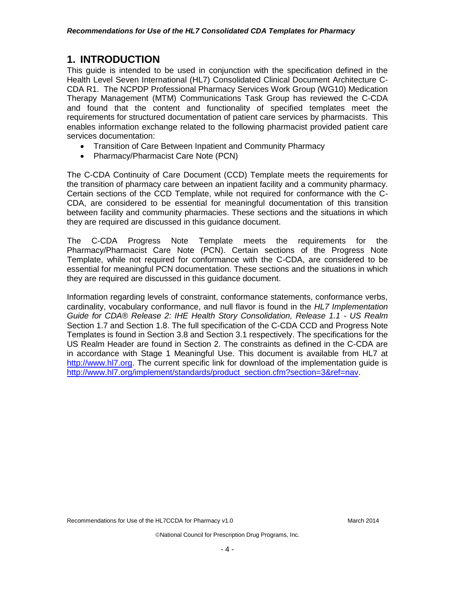#### <span id="page-3-0"></span>**1. INTRODUCTION**

This guide is intended to be used in conjunction with the specification defined in the Health Level Seven International (HL7) Consolidated Clinical Document Architecture C-CDA R1. The NCPDP Professional Pharmacy Services Work Group (WG10) Medication Therapy Management (MTM) Communications Task Group has reviewed the C-CDA and found that the content and functionality of specified templates meet the requirements for structured documentation of patient care services by pharmacists. This enables information exchange related to the following pharmacist provided patient care services documentation:

- Transition of Care Between Inpatient and Community Pharmacy
- Pharmacy/Pharmacist Care Note (PCN)

The C-CDA Continuity of Care Document (CCD) Template meets the requirements for the transition of pharmacy care between an inpatient facility and a community pharmacy. Certain sections of the CCD Template, while not required for conformance with the C-CDA, are considered to be essential for meaningful documentation of this transition between facility and community pharmacies. These sections and the situations in which they are required are discussed in this guidance document.

The C-CDA Progress Note Template meets the requirements for the Pharmacy/Pharmacist Care Note (PCN). Certain sections of the Progress Note Template, while not required for conformance with the C-CDA, are considered to be essential for meaningful PCN documentation. These sections and the situations in which they are required are discussed in this guidance document.

Information regarding levels of constraint, conformance statements, conformance verbs, cardinality, vocabulary conformance, and null flavor is found in the *HL7 Implementation Guide for CDA® Release 2: IHE Health Story Consolidation, Release 1.1 - US Realm* Section 1.7 and Section 1.8. The full specification of the C-CDA CCD and Progress Note Templates is found in Section 3.8 and Section 3.1 respectively. The specifications for the US Realm Header are found in Section 2. The constraints as defined in the C-CDA are in accordance with Stage 1 Meaningful Use. This document is available from HL7 at [http://www.hl7.org.](http://www.hl7.org/) The current specific link for download of the implementation guide is [http://www.hl7.org/implement/standards/product\\_section.cfm?section=3&ref=nav.](http://www.hl7.org/implement/standards/product_section.cfm?section=3&ref=nav)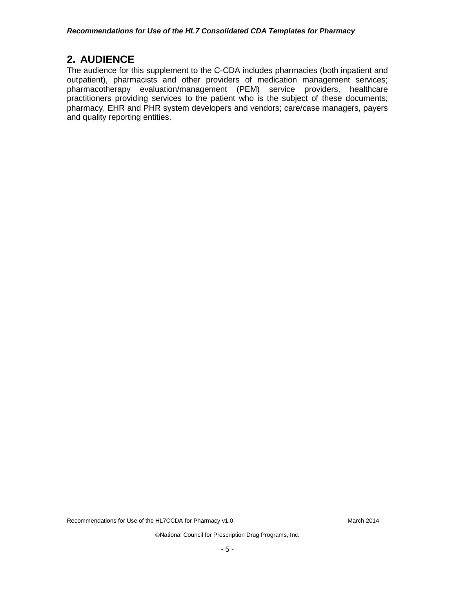## <span id="page-4-0"></span>**2. AUDIENCE**

The audience for this supplement to the C-CDA includes pharmacies (both inpatient and outpatient), pharmacists and other providers of medication management services; pharmacotherapy evaluation/management (PEM) service providers, healthcare practitioners providing services to the patient who is the subject of these documents; pharmacy, EHR and PHR system developers and vendors; care/case managers, payers and quality reporting entities.

Recommendations for Use of the HL7CCDA for Pharmacy v1.0 March 2014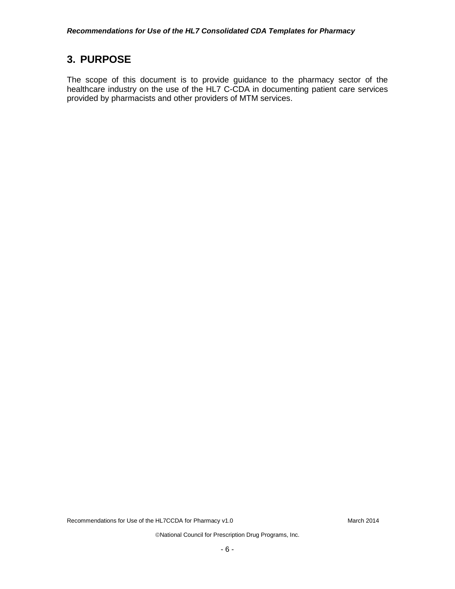## <span id="page-5-0"></span>**3. PURPOSE**

The scope of this document is to provide guidance to the pharmacy sector of the healthcare industry on the use of the HL7 C-CDA in documenting patient care services provided by pharmacists and other providers of MTM services.

Recommendations for Use of the HL7CCDA for Pharmacy v1.0 March 2014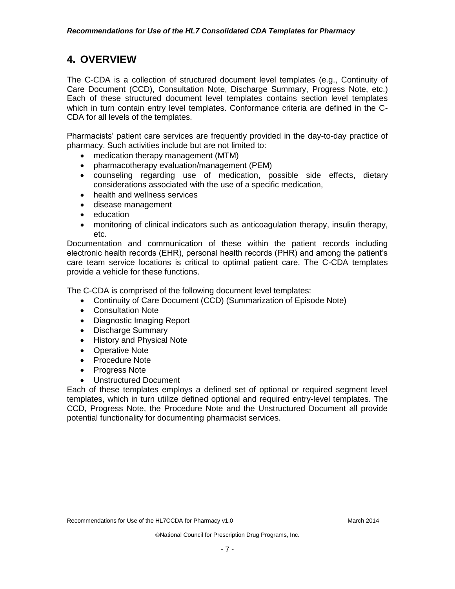## <span id="page-6-0"></span>**4. OVERVIEW**

The C-CDA is a collection of structured document level templates (e.g., Continuity of Care Document (CCD), Consultation Note, Discharge Summary, Progress Note, etc.) Each of these structured document level templates contains section level templates which in turn contain entry level templates. Conformance criteria are defined in the C-CDA for all levels of the templates.

Pharmacists' patient care services are frequently provided in the day-to-day practice of pharmacy. Such activities include but are not limited to:

- medication therapy management (MTM)
- pharmacotherapy evaluation/management (PEM)
- counseling regarding use of medication, possible side effects, dietary considerations associated with the use of a specific medication,
- health and wellness services
- disease management
- education
- monitoring of clinical indicators such as anticoagulation therapy, insulin therapy, etc.

Documentation and communication of these within the patient records including electronic health records (EHR), personal health records (PHR) and among the patient's care team service locations is critical to optimal patient care. The C-CDA templates provide a vehicle for these functions.

The C-CDA is comprised of the following document level templates:

- Continuity of Care Document (CCD) (Summarization of Episode Note)
- Consultation Note
- Diagnostic Imaging Report
- Discharge Summary
- History and Physical Note
- Operative Note
- Procedure Note
- Progress Note
- Unstructured Document

Each of these templates employs a defined set of optional or required segment level templates, which in turn utilize defined optional and required entry-level templates. The CCD, Progress Note, the Procedure Note and the Unstructured Document all provide potential functionality for documenting pharmacist services.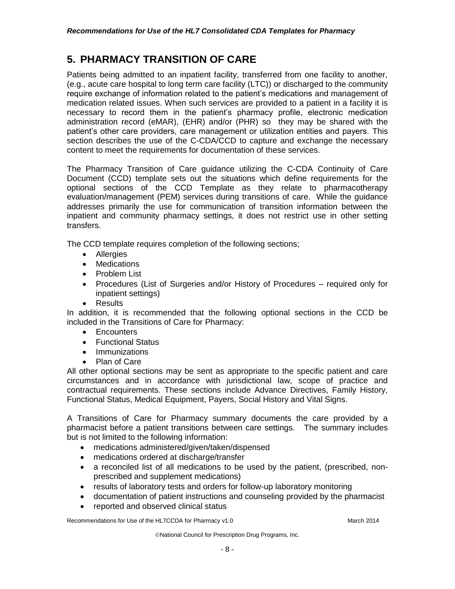## <span id="page-7-0"></span>**5. PHARMACY TRANSITION OF CARE**

Patients being admitted to an inpatient facility, transferred from one facility to another, (e.g., acute care hospital to long term care facility (LTC)) or discharged to the community require exchange of information related to the patient's medications and management of medication related issues. When such services are provided to a patient in a facility it is necessary to record them in the patient's pharmacy profile, electronic medication administration record (eMAR), (EHR) and/or (PHR) so they may be shared with the patient's other care providers, care management or utilization entities and payers. This section describes the use of the C-CDA/CCD to capture and exchange the necessary content to meet the requirements for documentation of these services.

The Pharmacy Transition of Care guidance utilizing the C-CDA Continuity of Care Document (CCD) template sets out the situations which define requirements for the optional sections of the CCD Template as they relate to pharmacotherapy evaluation/management (PEM) services during transitions of care. While the guidance addresses primarily the use for communication of transition information between the inpatient and community pharmacy settings, it does not restrict use in other setting transfers.

The CCD template requires completion of the following sections;

- Allergies
- Medications
- Problem List
- Procedures (List of Surgeries and/or History of Procedures required only for inpatient settings)
- Results

In addition, it is recommended that the following optional sections in the CCD be included in the Transitions of Care for Pharmacy:

- Encounters
- Functional Status
- Immunizations
- Plan of Care

All other optional sections may be sent as appropriate to the specific patient and care circumstances and in accordance with jurisdictional law, scope of practice and contractual requirements. These sections include Advance Directives, Family History, Functional Status, Medical Equipment, Payers, Social History and Vital Signs.

A Transitions of Care for Pharmacy summary documents the care provided by a pharmacist before a patient transitions between care settings. The summary includes but is not limited to the following information:

- medications administered/given/taken/dispensed
- medications ordered at discharge/transfer
- a reconciled list of all medications to be used by the patient, (prescribed, nonprescribed and supplement medications)
- results of laboratory tests and orders for follow-up laboratory monitoring
- documentation of patient instructions and counseling provided by the pharmacist
- reported and observed clinical status

Recommendations for Use of the HL7CCDA for Pharmacy v1.0 March 2014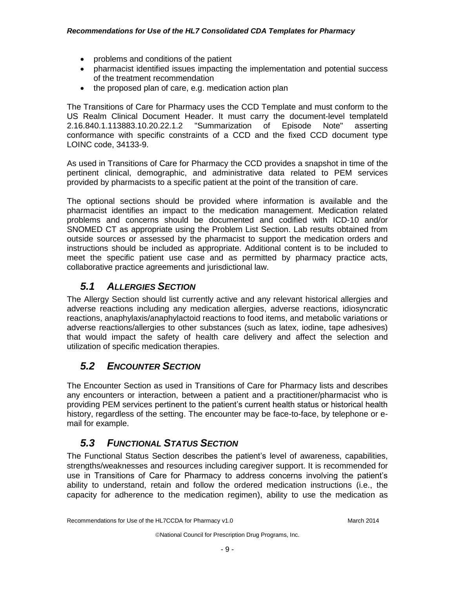- problems and conditions of the patient
- pharmacist identified issues impacting the implementation and potential success of the treatment recommendation
- the proposed plan of care, e.g. medication action plan

The Transitions of Care for Pharmacy uses the CCD Template and must conform to the US Realm Clinical Document Header. It must carry the document-level templateId 2.16.840.1.113883.10.20.22.1.2 "Summarization of Episode Note" asserting conformance with specific constraints of a CCD and the fixed CCD document type LOINC code, 34133-9.

As used in Transitions of Care for Pharmacy the CCD provides a snapshot in time of the pertinent clinical, demographic, and administrative data related to PEM services provided by pharmacists to a specific patient at the point of the transition of care.

The optional sections should be provided where information is available and the pharmacist identifies an impact to the medication management. Medication related problems and concerns should be documented and codified with ICD-10 and/or SNOMED CT as appropriate using the Problem List Section. Lab results obtained from outside sources or assessed by the pharmacist to support the medication orders and instructions should be included as appropriate. Additional content is to be included to meet the specific patient use case and as permitted by pharmacy practice acts, collaborative practice agreements and jurisdictional law.

#### <span id="page-8-0"></span>*5.1 ALLERGIES SECTION*

The Allergy Section should list currently active and any relevant historical allergies and adverse reactions including any medication allergies, adverse reactions, idiosyncratic reactions, anaphylaxis/anaphylactoid reactions to food items, and metabolic variations or adverse reactions/allergies to other substances (such as latex, iodine, tape adhesives) that would impact the safety of health care delivery and affect the selection and utilization of specific medication therapies.

#### <span id="page-8-1"></span>*5.2 ENCOUNTER SECTION*

The Encounter Section as used in Transitions of Care for Pharmacy lists and describes any encounters or interaction, between a patient and a practitioner/pharmacist who is providing PEM services pertinent to the patient's current health status or historical health history, regardless of the setting. The encounter may be face-to-face, by telephone or email for example.

#### <span id="page-8-2"></span>*5.3 FUNCTIONAL STATUS SECTION*

The Functional Status Section describes the patient's level of awareness, capabilities, strengths/weaknesses and resources including caregiver support. It is recommended for use in Transitions of Care for Pharmacy to address concerns involving the patient's ability to understand, retain and follow the ordered medication instructions (i.e., the capacity for adherence to the medication regimen), ability to use the medication as

Recommendations for Use of the HL7CCDA for Pharmacy v1.0 March 2014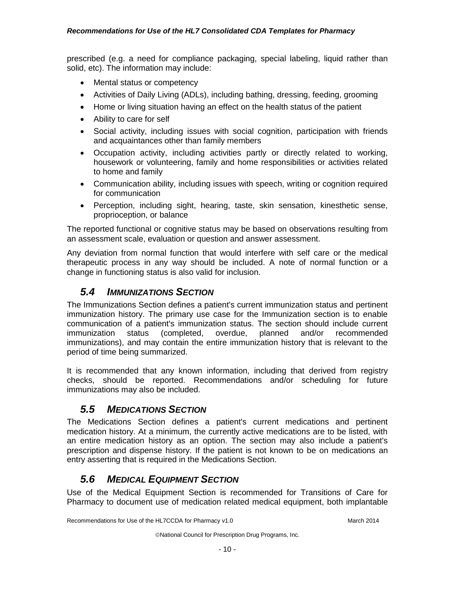prescribed (e.g. a need for compliance packaging, special labeling, liquid rather than solid, etc). The information may include:

- Mental status or competency
- Activities of Daily Living (ADLs), including bathing, dressing, feeding, grooming
- Home or living situation having an effect on the health status of the patient
- Ability to care for self
- Social activity, including issues with social cognition, participation with friends and acquaintances other than family members
- Occupation activity, including activities partly or directly related to working, housework or volunteering, family and home responsibilities or activities related to home and family
- Communication ability, including issues with speech, writing or cognition required for communication
- Perception, including sight, hearing, taste, skin sensation, kinesthetic sense, proprioception, or balance

The reported functional or cognitive status may be based on observations resulting from an assessment scale, evaluation or question and answer assessment.

Any deviation from normal function that would interfere with self care or the medical therapeutic process in any way should be included. A note of normal function or a change in functioning status is also valid for inclusion.

#### <span id="page-9-0"></span>*5.4 IMMUNIZATIONS SECTION*

The Immunizations Section defines a patient's current immunization status and pertinent immunization history. The primary use case for the Immunization section is to enable communication of a patient's immunization status. The section should include current immunization status (completed, overdue, planned and/or recommended immunizations), and may contain the entire immunization history that is relevant to the period of time being summarized.

It is recommended that any known information, including that derived from registry checks, should be reported. Recommendations and/or scheduling for future immunizations may also be included.

#### <span id="page-9-1"></span>*5.5 MEDICATIONS SECTION*

The Medications Section defines a patient's current medications and pertinent medication history. At a minimum, the currently active medications are to be listed, with an entire medication history as an option. The section may also include a patient's prescription and dispense history. If the patient is not known to be on medications an entry asserting that is required in the Medications Section.

#### <span id="page-9-2"></span>*5.6 MEDICAL EQUIPMENT SECTION*

Use of the Medical Equipment Section is recommended for Transitions of Care for Pharmacy to document use of medication related medical equipment, both implantable

Recommendations for Use of the HL7CCDA for Pharmacy v1.0 March 2014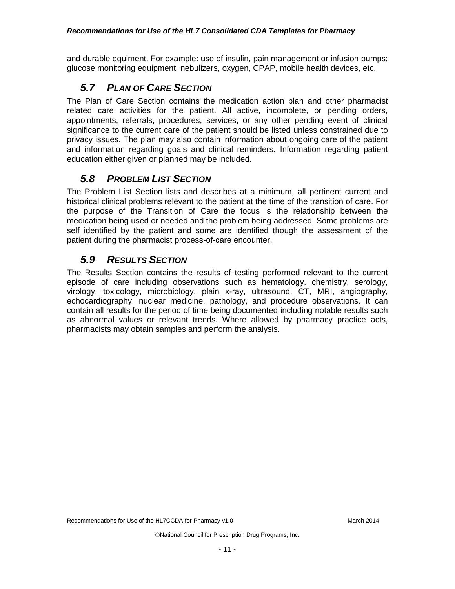and durable equiment. For example: use of insulin, pain management or infusion pumps; glucose monitoring equipment, nebulizers, oxygen, CPAP, mobile health devices, etc.

## <span id="page-10-0"></span>*5.7 PLAN OF CARE SECTION*

The Plan of Care Section contains the medication action plan and other pharmacist related care activities for the patient. All active, incomplete, or pending orders, appointments, referrals, procedures, services, or any other pending event of clinical significance to the current care of the patient should be listed unless constrained due to privacy issues. The plan may also contain information about ongoing care of the patient and information regarding goals and clinical reminders. Information regarding patient education either given or planned may be included.

## <span id="page-10-1"></span>*5.8 PROBLEM LIST SECTION*

The Problem List Section lists and describes at a minimum, all pertinent current and historical clinical problems relevant to the patient at the time of the transition of care. For the purpose of the Transition of Care the focus is the relationship between the medication being used or needed and the problem being addressed. Some problems are self identified by the patient and some are identified though the assessment of the patient during the pharmacist process-of-care encounter.

## <span id="page-10-2"></span>*5.9 RESULTS SECTION*

The Results Section contains the results of testing performed relevant to the current episode of care including observations such as hematology, chemistry, serology, virology, toxicology, microbiology, plain x-ray, ultrasound, CT, MRI, angiography, echocardiography, nuclear medicine, pathology, and procedure observations. It can contain all results for the period of time being documented including notable results such as abnormal values or relevant trends. Where allowed by pharmacy practice acts, pharmacists may obtain samples and perform the analysis.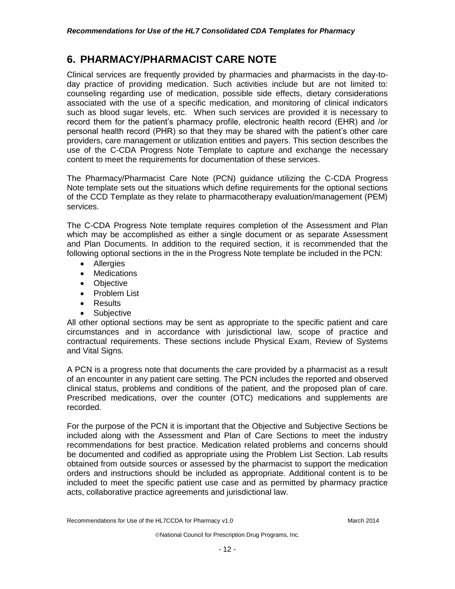### <span id="page-11-0"></span>**6. PHARMACY/PHARMACIST CARE NOTE**

Clinical services are frequently provided by pharmacies and pharmacists in the day-today practice of providing medication. Such activities include but are not limited to: counseling regarding use of medication, possible side effects, dietary considerations associated with the use of a specific medication, and monitoring of clinical indicators such as blood sugar levels, etc. When such services are provided it is necessary to record them for the patient's pharmacy profile, electronic health record (EHR) and /or personal health record (PHR) so that they may be shared with the patient's other care providers, care management or utilization entities and payers. This section describes the use of the C-CDA Progress Note Template to capture and exchange the necessary content to meet the requirements for documentation of these services.

The Pharmacy/Pharmacist Care Note (PCN) guidance utilizing the C-CDA Progress Note template sets out the situations which define requirements for the optional sections of the CCD Template as they relate to pharmacotherapy evaluation/management (PEM) services.

The C-CDA Progress Note template requires completion of the Assessment and Plan which may be accomplished as either a single document or as separate Assessment and Plan Documents. In addition to the required section, it is recommended that the following optional sections in the in the Progress Note template be included in the PCN:

- Allergies
- Medications
- Objective
- Problem List
- Results
- Subjective

All other optional sections may be sent as appropriate to the specific patient and care circumstances and in accordance with jurisdictional law, scope of practice and contractual requirements. These sections include Physical Exam, Review of Systems and Vital Signs.

A PCN is a progress note that documents the care provided by a pharmacist as a result of an encounter in any patient care setting. The PCN includes the reported and observed clinical status, problems and conditions of the patient, and the proposed plan of care. Prescribed medications, over the counter (OTC) medications and supplements are recorded.

For the purpose of the PCN it is important that the Objective and Subjective Sections be included along with the Assessment and Plan of Care Sections to meet the industry recommendations for best practice. Medication related problems and concerns should be documented and codified as appropriate using the Problem List Section. Lab results obtained from outside sources or assessed by the pharmacist to support the medication orders and instructions should be included as appropriate. Additional content is to be included to meet the specific patient use case and as permitted by pharmacy practice acts, collaborative practice agreements and jurisdictional law.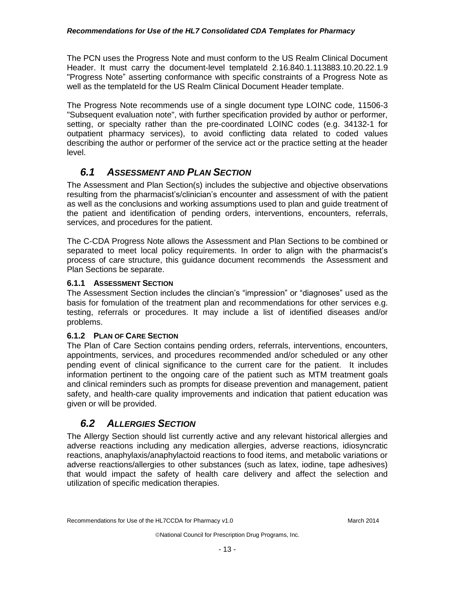The PCN uses the Progress Note and must conform to the US Realm Clinical Document Header. It must carry the document-level templateId 2.16.840.1.113883.10.20.22.1.9 "Progress Note" asserting conformance with specific constraints of a Progress Note as well as the templateId for the US Realm Clinical Document Header template.

The Progress Note recommends use of a single document type LOINC code, 11506-3 "Subsequent evaluation note", with further specification provided by author or performer, setting, or specialty rather than the pre-coordinated LOINC codes (e.g. 34132-1 for outpatient pharmacy services), to avoid conflicting data related to coded values describing the author or performer of the service act or the practice setting at the header level.

#### <span id="page-12-0"></span>*6.1 ASSESSMENT AND PLAN SECTION*

The Assessment and Plan Section(s) includes the subjective and objective observations resulting from the pharmacist's/clinician's encounter and assessment of with the patient as well as the conclusions and working assumptions used to plan and guide treatment of the patient and identification of pending orders, interventions, encounters, referrals, services, and procedures for the patient.

The C-CDA Progress Note allows the Assessment and Plan Sections to be combined or separated to meet local policy requirements. In order to align with the pharmacist's process of care structure, this guidance document recommends the Assessment and Plan Sections be separate.

#### <span id="page-12-1"></span>**6.1.1 ASSESSMENT SECTION**

The Assessment Section includes the clincian's "impression" or "diagnoses" used as the basis for fomulation of the treatment plan and recommendations for other services e.g. testing, referrals or procedures. It may include a list of identified diseases and/or problems.

#### <span id="page-12-2"></span>**6.1.2 PLAN OF CARE SECTION**

The Plan of Care Section contains pending orders, referrals, interventions, encounters, appointments, services, and procedures recommended and/or scheduled or any other pending event of clinical significance to the current care for the patient. It includes information pertinent to the ongoing care of the patient such as MTM treatment goals and clinical reminders such as prompts for disease prevention and management, patient safety, and health-care quality improvements and indication that patient education was given or will be provided.

#### <span id="page-12-3"></span>*6.2 ALLERGIES SECTION*

The Allergy Section should list currently active and any relevant historical allergies and adverse reactions including any medication allergies, adverse reactions, idiosyncratic reactions, anaphylaxis/anaphylactoid reactions to food items, and metabolic variations or adverse reactions/allergies to other substances (such as latex, iodine, tape adhesives) that would impact the safety of health care delivery and affect the selection and utilization of specific medication therapies.

Recommendations for Use of the HL7CCDA for Pharmacy v1.0 March 2014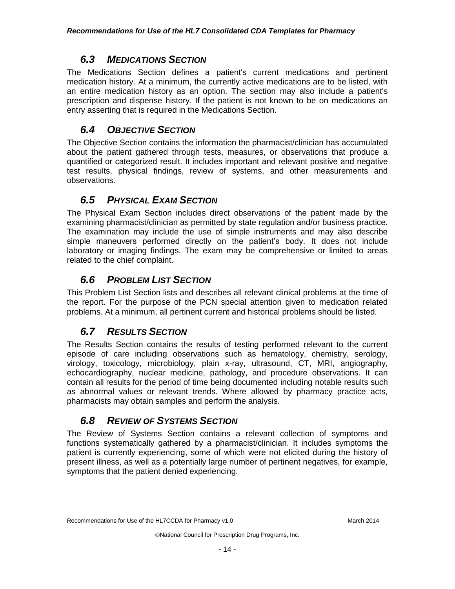#### *6.3 MEDICATIONS SECTION*

<span id="page-13-0"></span>The Medications Section defines a patient's current medications and pertinent medication history. At a minimum, the currently active medications are to be listed, with an entire medication history as an option. The section may also include a patient's prescription and dispense history. If the patient is not known to be on medications an entry asserting that is required in the Medications Section.

## <span id="page-13-1"></span>*6.4 OBJECTIVE SECTION*

The Objective Section contains the information the pharmacist/clinician has accumulated about the patient gathered through tests, measures, or observations that produce a quantified or categorized result. It includes important and relevant positive and negative test results, physical findings, review of systems, and other measurements and observations.

## <span id="page-13-2"></span>*6.5 PHYSICAL EXAM SECTION*

The Physical Exam Section includes direct observations of the patient made by the examining pharmacist/clinician as permitted by state regulation and/or business practice. The examination may include the use of simple instruments and may also describe simple maneuvers performed directly on the patient's body. It does not include laboratory or imaging findings. The exam may be comprehensive or limited to areas related to the chief complaint.

## <span id="page-13-3"></span>*6.6 PROBLEM LIST SECTION*

This Problem List Section lists and describes all relevant clinical problems at the time of the report. For the purpose of the PCN special attention given to medication related problems. At a minimum, all pertinent current and historical problems should be listed.

## <span id="page-13-4"></span>*6.7 RESULTS SECTION*

The Results Section contains the results of testing performed relevant to the current episode of care including observations such as hematology, chemistry, serology, virology, toxicology, microbiology, plain x-ray, ultrasound, CT, MRI, angiography, echocardiography, nuclear medicine, pathology, and procedure observations. It can contain all results for the period of time being documented including notable results such as abnormal values or relevant trends. Where allowed by pharmacy practice acts, pharmacists may obtain samples and perform the analysis.

## <span id="page-13-5"></span>*6.8 REVIEW OF SYSTEMS SECTION*

The Review of Systems Section contains a relevant collection of symptoms and functions systematically gathered by a pharmacist/clinician. It includes symptoms the patient is currently experiencing, some of which were not elicited during the history of present illness, as well as a potentially large number of pertinent negatives, for example, symptoms that the patient denied experiencing.

Recommendations for Use of the HL7CCDA for Pharmacy v1.0 March 2014